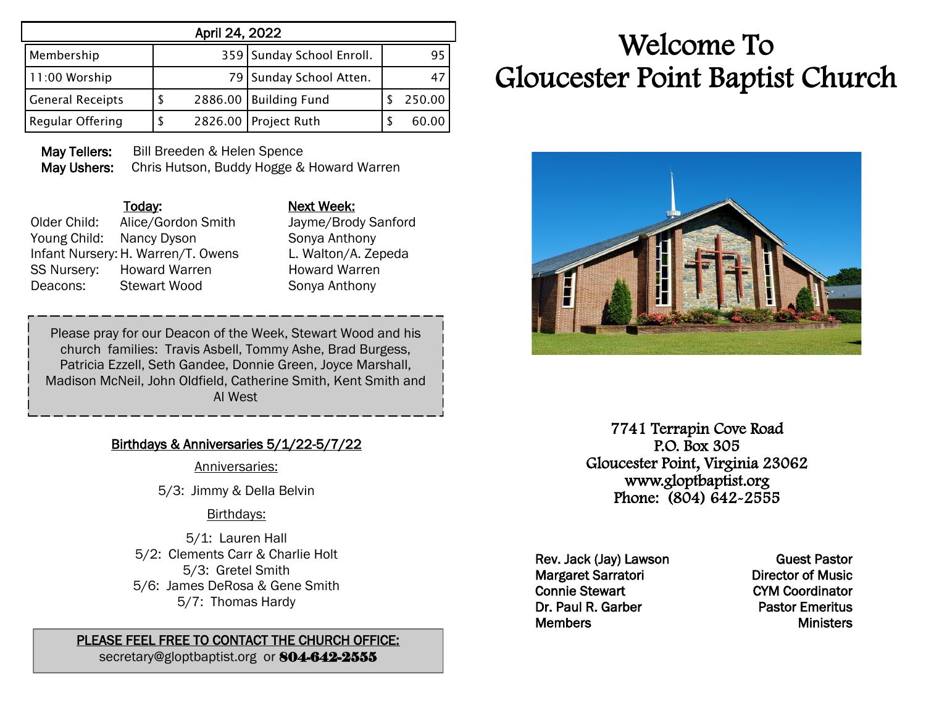| April 24, 2022          |  |  |                             |  |        |
|-------------------------|--|--|-----------------------------|--|--------|
| Membership              |  |  | 359   Sunday School Enroll. |  | 95     |
| 11:00 Worship           |  |  | 79 Sunday School Atten.     |  | 47     |
| <b>General Receipts</b> |  |  | 2886.00 Building Fund       |  | 250.00 |
| Regular Offering        |  |  | 2826.00 Project Ruth        |  | 60.00  |

May Tellers: Bill Breeden & Helen Spence May Ushers: Chris Hutson, Buddy Hogge & Howard Warren

Older Child: Alice/Gordon Smith Jayme/Brody Sanford Young Child: Nancy Dyson Sonya Anthony Infant Nursery:H. Warren/T. Owens L. Walton/A. Zepeda SS Nursery: Howard Warren **Howard Warren** Deacons: Stewart Wood Sonya Anthony

## Today: Next Week:

Please pray for our Deacon of the Week, Stewart Wood and his church families: Travis Asbell, Tommy Ashe, Brad Burgess, Patricia Ezzell, Seth Gandee, Donnie Green, Joyce Marshall, Madison McNeil, John Oldfield, Catherine Smith, Kent Smith and Al West

### Birthdays & Anniversaries 5/1/22-5/7/22

Anniversaries:

5/3: Jimmy & Della Belvin

#### Birthdays:

5/1: Lauren Hall 5/2: Clements Carr & Charlie Holt 5/3: Gretel Smith 5/6: James DeRosa & Gene Smith 5/7: Thomas Hardy

#### PLEASE FEEL FREE TO CONTACT THE CHURCH OFFICE:

secretary@gloptbaptist.org or 804-642-2555

# Welcome To Gloucester Point Baptist Church



7741 Terrapin Cove Road P.O. Box 305 Gloucester Point, Virginia 23062 www.gloptbaptist.org Phone: (804) 642-2555

Rev. Jack (Jay) Lawson Margaret Sarratori Connie Stewart Dr. Paul R. Garber **Members** 

Guest Pastor Director of Music CYM Coordinator Pastor Emeritus **Ministers**